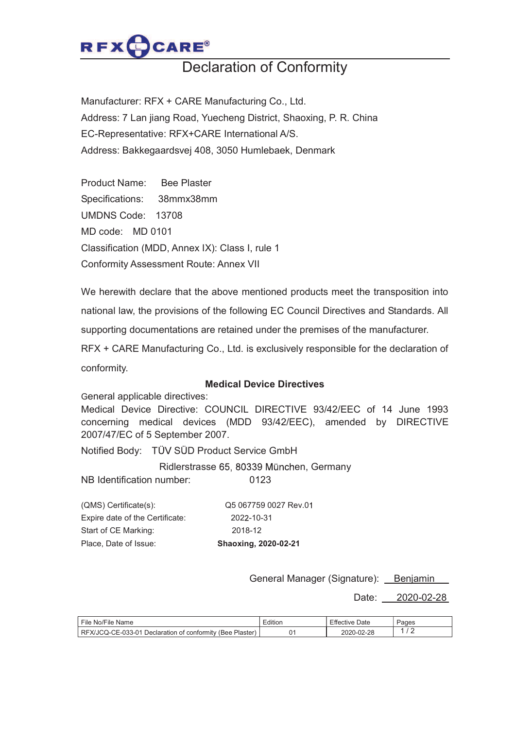

## Declaration of Conformity

Manufacturer: RFX + CARE Manufacturing Co., Ltd. Address: 7 Lan jiang Road, Yuecheng District, Shaoxing, P. R. China EC-Representative: RFX+CARE International A/S. Address: Bakkegaardsvej 408, 3050 Humlebaek, Denmark

Product Name: Bee Plaster Specifications: 38mmx38mm UMDNS Code: 13708 MD code: MD 0101 Classification (MDD, Annex IX): Class I, rule 1 Conformity Assessment Route: Annex VII

We herewith declare that the above mentioned products meet the transposition into national law, the provisions of the following EC Council Directives and Standards. All supporting documentations are retained under the premises of the manufacturer. RFX + CARE Manufacturing Co., Ltd. is exclusively responsible for the declaration of conformity.

## Medical Device Directives

General applicable directives:

Medical Device Directive: COUNCIL DIRECTIVE 93/42/EEC of 14 June 1993 concerning medical devices (MDD 93/42/EEC), amended by DIRECTIVE 2007/47/EC of 5 September 2007.

Notified Body: TÜV SÜD Product Service GmbH

Ridlerstrasse 65, 80339 München, Germany

NB Identification number: 0123

| (QMS) Certificate(s):           | Q5 067759 0027 Rev.01 |
|---------------------------------|-----------------------|
| Expire date of the Certificate: | 2022-10-31            |
| Start of CE Marking:            | 2018-12               |
| Place, Date of Issue:           | Shaoxing, 2020-02-21  |

General Manager (Signature): Benjamin

Date: 2020-02-28

| File<br>Name<br>No/File                                                                    | Edition | Date<br>five.<br>⊤ Effect" | Pages |
|--------------------------------------------------------------------------------------------|---------|----------------------------|-------|
| <b>RF</b><br>−E-033-01.<br>Plaster<br>-X/JCO-CE-<br>Declaration<br>ı of conformitv<br>(Bee |         | 2020-02-28                 |       |